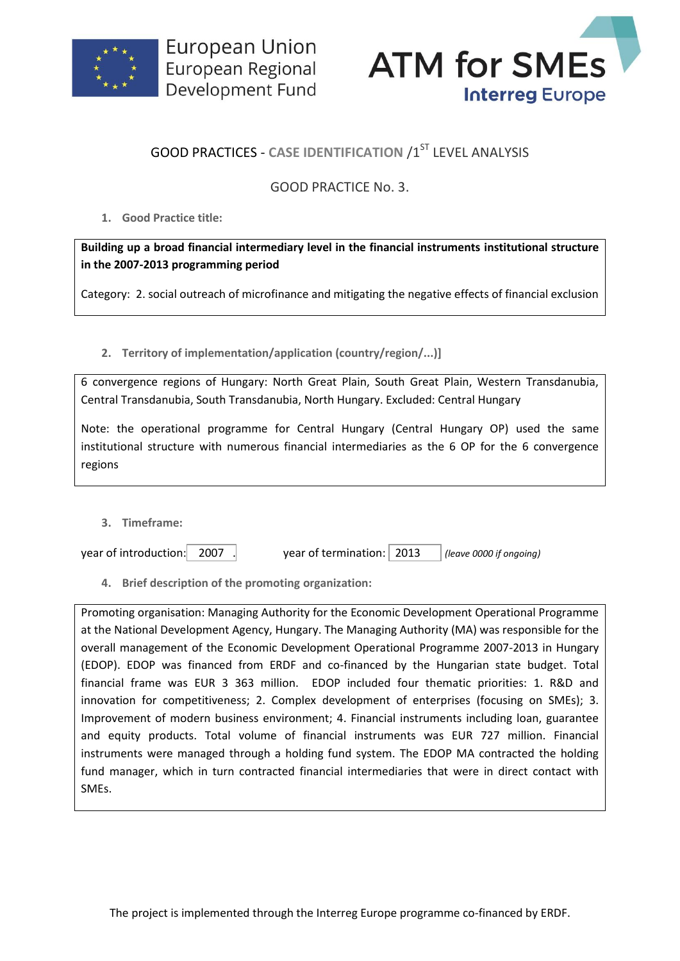



## **GOOD PRACTICES - CASE IDENTIFICATION /1ST LEVEL ANALYSIS**

## GOOD PRACTICE No. 3.

**1. Good Practice title:**

**Building up a broad financial intermediary level in the financial instruments institutional structure in the 2007-2013 programming period**

Category: 2. social outreach of microfinance and mitigating the negative effects of financial exclusion

**2. Territory of implementation/application (country/region/...)]**

6 convergence regions of Hungary: North Great Plain, South Great Plain, Western Transdanubia, Central Transdanubia, South Transdanubia, North Hungary. Excluded: Central Hungary

Note: the operational programme for Central Hungary (Central Hungary OP) used the same institutional structure with numerous financial intermediaries as the 6 OP for the 6 convergence regions

**3. Timeframe:**

| year of introduction: 2007 |  | year of termination:   2013 |  | (leave 0000 if ongoing) |
|----------------------------|--|-----------------------------|--|-------------------------|
|----------------------------|--|-----------------------------|--|-------------------------|

**4. Brief description of the promoting organization:**

Promoting organisation: Managing Authority for the Economic Development Operational Programme at the National Development Agency, Hungary. The Managing Authority (MA) was responsible for the overall management of the Economic Development Operational Programme 2007-2013 in Hungary (EDOP). EDOP was financed from ERDF and co-financed by the Hungarian state budget. Total financial frame was EUR 3 363 million. EDOP included four thematic priorities: 1. R&D and innovation for competitiveness; 2. Complex development of enterprises (focusing on SMEs); 3. Improvement of modern business environment; 4. Financial instruments including loan, guarantee and equity products. Total volume of financial instruments was EUR 727 million. Financial instruments were managed through a holding fund system. The EDOP MA contracted the holding fund manager, which in turn contracted financial intermediaries that were in direct contact with SMEs.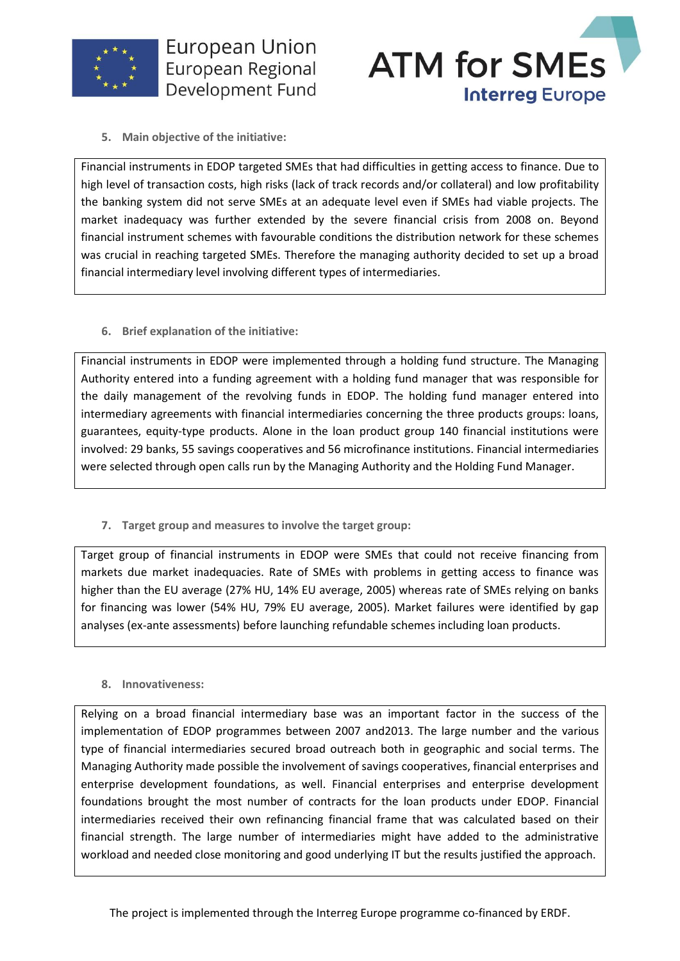



**5. Main objective of the initiative:**

Financial instruments in EDOP targeted SMEs that had difficulties in getting access to finance. Due to high level of transaction costs, high risks (lack of track records and/or collateral) and low profitability the banking system did not serve SMEs at an adequate level even if SMEs had viable projects. The market inadequacy was further extended by the severe financial crisis from 2008 on. Beyond financial instrument schemes with favourable conditions the distribution network for these schemes was crucial in reaching targeted SMEs. Therefore the managing authority decided to set up a broad financial intermediary level involving different types of intermediaries.

**6. Brief explanation of the initiative:**

Financial instruments in EDOP were implemented through a holding fund structure. The Managing Authority entered into a funding agreement with a holding fund manager that was responsible for the daily management of the revolving funds in EDOP. The holding fund manager entered into intermediary agreements with financial intermediaries concerning the three products groups: loans, guarantees, equity-type products. Alone in the loan product group 140 financial institutions were involved: 29 banks, 55 savings cooperatives and 56 microfinance institutions. Financial intermediaries were selected through open calls run by the Managing Authority and the Holding Fund Manager.

**7. Target group and measures to involve the target group:**

Target group of financial instruments in EDOP were SMEs that could not receive financing from markets due market inadequacies. Rate of SMEs with problems in getting access to finance was higher than the EU average (27% HU, 14% EU average, 2005) whereas rate of SMEs relying on banks for financing was lower (54% HU, 79% EU average, 2005). Market failures were identified by gap analyses (ex-ante assessments) before launching refundable schemes including loan products.

**8. Innovativeness:**

Relying on a broad financial intermediary base was an important factor in the success of the implementation of EDOP programmes between 2007 and2013. The large number and the various type of financial intermediaries secured broad outreach both in geographic and social terms. The Managing Authority made possible the involvement of savings cooperatives, financial enterprises and enterprise development foundations, as well. Financial enterprises and enterprise development foundations brought the most number of contracts for the loan products under EDOP. Financial intermediaries received their own refinancing financial frame that was calculated based on their financial strength. The large number of intermediaries might have added to the administrative workload and needed close monitoring and good underlying IT but the results justified the approach.